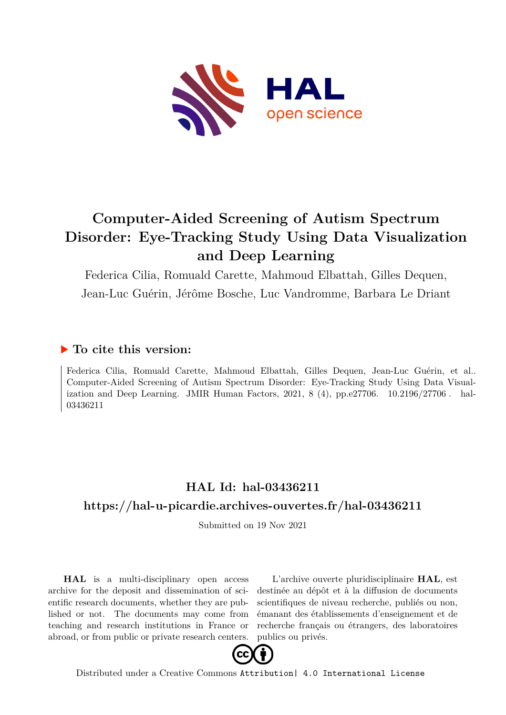

# **Computer-Aided Screening of Autism Spectrum Disorder: Eye-Tracking Study Using Data Visualization and Deep Learning**

Federica Cilia, Romuald Carette, Mahmoud Elbattah, Gilles Dequen,

Jean-Luc Guérin, Jérôme Bosche, Luc Vandromme, Barbara Le Driant

### **To cite this version:**

Federica Cilia, Romuald Carette, Mahmoud Elbattah, Gilles Dequen, Jean-Luc Guérin, et al.. Computer-Aided Screening of Autism Spectrum Disorder: Eye-Tracking Study Using Data Visualization and Deep Learning. JMIR Human Factors,  $2021, 8$  (4), pp.e27706.  $10.2196/27706$ . hal-03436211

# **HAL Id: hal-03436211 <https://hal-u-picardie.archives-ouvertes.fr/hal-03436211>**

Submitted on 19 Nov 2021

**HAL** is a multi-disciplinary open access archive for the deposit and dissemination of scientific research documents, whether they are published or not. The documents may come from teaching and research institutions in France or abroad, or from public or private research centers.

L'archive ouverte pluridisciplinaire **HAL**, est destinée au dépôt et à la diffusion de documents scientifiques de niveau recherche, publiés ou non, émanant des établissements d'enseignement et de recherche français ou étrangers, des laboratoires publics ou privés.



Distributed under a Creative Commons [Attribution| 4.0 International License](http://creativecommons.org/licenses/by/4.0/)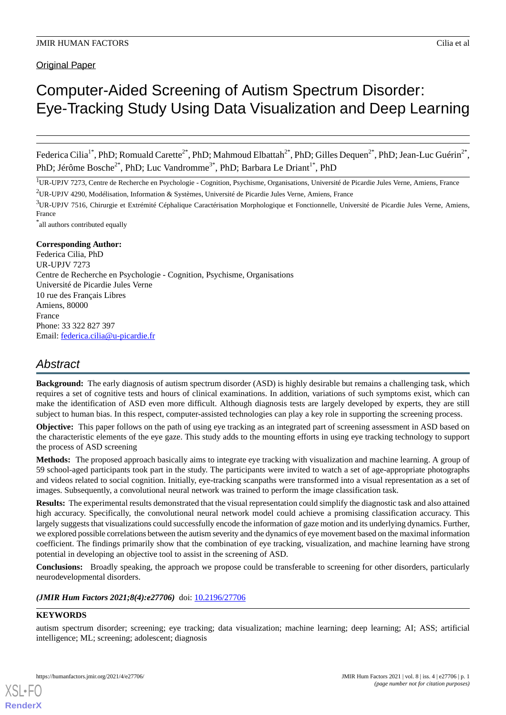# Computer-Aided Screening of Autism Spectrum Disorder: Eye-Tracking Study Using Data Visualization and Deep Learning

Federica Cilia<sup>1\*</sup>, PhD; Romuald Carette<sup>2\*</sup>, PhD; Mahmoud Elbattah<sup>2\*</sup>, PhD; Gilles Dequen<sup>2\*</sup>, PhD; Jean-Luc Guérin<sup>2\*</sup>, PhD; Jérôme Bosche<sup>2\*</sup>, PhD; Luc Vandromme<sup>3\*</sup>, PhD; Barbara Le Driant<sup>1\*</sup>, PhD

<sup>1</sup>UR-UPJV 7273, Centre de Recherche en Psychologie - Cognition, Psychisme, Organisations, Université de Picardie Jules Verne, Amiens, France <sup>2</sup>UR-UPJV 4290, Modélisation, Information & Systèmes, Université de Picardie Jules Verne, Amiens, France

 $3$ UR-UPJV 7516, Chirurgie et Extrémité Céphalique Caractérisation Morphologique et Fonctionnelle, Université de Picardie Jules Verne, Amiens, France

\* all authors contributed equally

#### **Corresponding Author:**

Federica Cilia, PhD UR-UPJV 7273 Centre de Recherche en Psychologie - Cognition, Psychisme, Organisations Université de Picardie Jules Verne 10 rue des Français Libres Amiens, 80000 France Phone: 33 322 827 397 Email: [federica.cilia@u-picardie.fr](mailto:federica.cilia@u-picardie.fr)

## *Abstract*

**Background:** The early diagnosis of autism spectrum disorder (ASD) is highly desirable but remains a challenging task, which requires a set of cognitive tests and hours of clinical examinations. In addition, variations of such symptoms exist, which can make the identification of ASD even more difficult. Although diagnosis tests are largely developed by experts, they are still subject to human bias. In this respect, computer-assisted technologies can play a key role in supporting the screening process.

**Objective:** This paper follows on the path of using eye tracking as an integrated part of screening assessment in ASD based on the characteristic elements of the eye gaze. This study adds to the mounting efforts in using eye tracking technology to support the process of ASD screening

**Methods:** The proposed approach basically aims to integrate eye tracking with visualization and machine learning. A group of 59 school-aged participants took part in the study. The participants were invited to watch a set of age-appropriate photographs and videos related to social cognition. Initially, eye-tracking scanpaths were transformed into a visual representation as a set of images. Subsequently, a convolutional neural network was trained to perform the image classification task.

**Results:** The experimental results demonstrated that the visual representation could simplify the diagnostic task and also attained high accuracy. Specifically, the convolutional neural network model could achieve a promising classification accuracy. This largely suggests that visualizations could successfully encode the information of gaze motion and its underlying dynamics. Further, we explored possible correlations between the autism severity and the dynamics of eye movement based on the maximal information coefficient. The findings primarily show that the combination of eye tracking, visualization, and machine learning have strong potential in developing an objective tool to assist in the screening of ASD.

**Conclusions:** Broadly speaking, the approach we propose could be transferable to screening for other disorders, particularly neurodevelopmental disorders.

(JMIR Hum Factors 2021;8(4):e27706) doi: [10.2196/27706](http://dx.doi.org/10.2196/27706)

#### **KEYWORDS**

[XSL](http://www.w3.org/Style/XSL)•FO **[RenderX](http://www.renderx.com/)**

autism spectrum disorder; screening; eye tracking; data visualization; machine learning; deep learning; AI; ASS; artificial intelligence; ML; screening; adolescent; diagnosis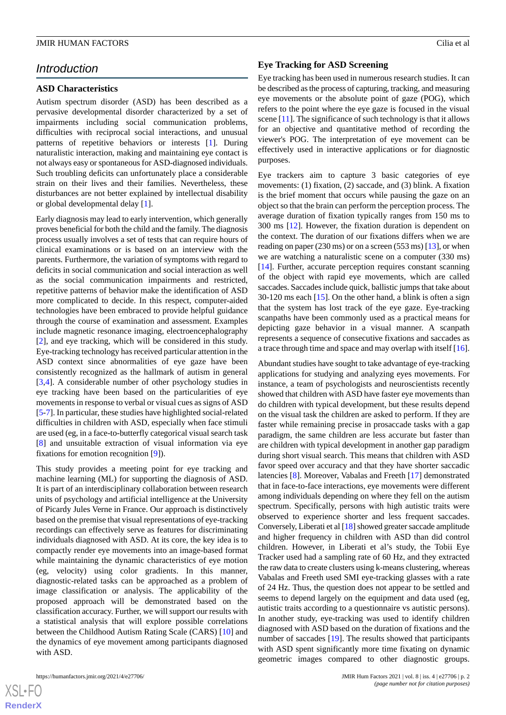### *Introduction*

#### **ASD Characteristics**

Autism spectrum disorder (ASD) has been described as a pervasive developmental disorder characterized by a set of impairments including social communication problems, difficulties with reciprocal social interactions, and unusual patterns of repetitive behaviors or interests [1]. During naturalistic interaction, making and maintaining eye contact is not always easy or spontaneous for ASD-diagnosed individuals. Such troubling deficits can unfortunately place a considerable strain on their lives and their families. Nevertheless, these disturbances are not better explained by intellectual disability or global developmental delay [1].

Early diagnosis may lead to early intervention, which generally proves beneficial for both the child and the family. The diagnosis process usually involves a set of tests that can require hours of clinical examinations or is based on an interview with the parents. Furthermore, the variation of symptoms with regard to deficits in social communication and social interaction as well as the social communication impairments and restricted, repetitive patterns of behavior make the identification of ASD more complicated to decide. In this respect, computer-aided technologies have been embraced to provide helpful guidance through the course of examination and assessment. Examples include magnetic resonance imaging, electroencephalography [2], and eye tracking, which will be considered in this study. Eye-tracking technology has received particular attention in the ASD context since abnormalities of eye gaze have been consistently recognized as the hallmark of autism in general [3,4]. A considerable number of other psychology studies in eye tracking have been based on the particularities of eye movements in response to verbal or visual cues as signs of ASD [5-7]. In particular, these studies have highlighted social-related difficulties in children with ASD, especially when face stimuli are used (eg, in a face-to-butterfly categorical visual search task [8] and unsuitable extraction of visual information via eye fixations for emotion recognition [9]).

This study provides a meeting point for eye tracking and machine learning (ML) for supporting the diagnosis of ASD. It is part of an interdisciplinary collaboration between research units of psychology and artificial intelligence at the University of Picardy Jules Verne in France. Our approach is distinctively based on the premise that visual representations of eye-tracking recordings can effectively serve as features for discriminating individuals diagnosed with ASD. At its core, the key idea is to compactly render eye movements into an image-based format while maintaining the dynamic characteristics of eye motion (eg, velocity) using color gradients. In this manner, diagnostic-related tasks can be approached as a problem of image classification or analysis. The applicability of the proposed approach will be demonstrated based on the classification accuracy. Further, we will support our results with a statistical analysis that will explore possible correlations between the Childhood Autism Rating Scale (CARS) [10] and the dynamics of eye movement among participants diagnosed with ASD.

 $XS$ -FO **[RenderX](http://www.renderx.com/)**

#### **Eye Tracking for ASD Screening**

Eye tracking has been used in numerous research studies. It can be described as the process of capturing, tracking, and measuring eye movements or the absolute point of gaze (POG), which refers to the point where the eye gaze is focused in the visual scene [11]. The significance of such technology is that it allows for an objective and quantitative method of recording the viewer's POG. The interpretation of eye movement can be effectively used in interactive applications or for diagnostic purposes.

Eye trackers aim to capture 3 basic categories of eye movements: (1) fixation, (2) saccade, and (3) blink. A fixation is the brief moment that occurs while pausing the gaze on an object so that the brain can perform the perception process. The average duration of fixation typically ranges from 150 ms to 300 ms [12]. However, the fixation duration is dependent on the context. The duration of our fixations differs when we are reading on paper (230 ms) or on a screen (553 ms)  $[13]$ , or when we are watching a naturalistic scene on a computer (330 ms) [14]. Further, accurate perception requires constant scanning of the object with rapid eye movements, which are called saccades. Saccades include quick, ballistic jumps that take about  $30-120$  ms each  $\left[15\right]$ . On the other hand, a blink is often a sign that the system has lost track of the eye gaze. Eye-tracking scanpaths have been commonly used as a practical means for depicting gaze behavior in a visual manner. A scanpath represents a sequence of consecutive fixations and saccades as a trace through time and space and may overlap with itself [16].

Abundant studies have sought to take advantage of eye-tracking applications for studying and analyzing eyes movements. For instance, a team of psychologists and neuroscientists recently showed that children with ASD have faster eye movements than do children with typical development, but these results depend on the visual task the children are asked to perform. If they are faster while remaining precise in prosaccade tasks with a gap paradigm, the same children are less accurate but faster than are children with typical development in another gap paradigm during short visual search. This means that children with ASD favor speed over accuracy and that they have shorter saccadic latencies [8]. Moreover, Vabalas and Freeth [17] demonstrated that in face-to-face interactions, eye movements were different among individuals depending on where they fell on the autism spectrum. Specifically, persons with high autistic traits were observed to experience shorter and less frequent saccades. Conversely, Liberati et al [18] showed greater saccade amplitude and higher frequency in children with ASD than did control children. However, in Liberati et al's study, the Tobii Eye Tracker used had a sampling rate of 60 Hz, and they extracted the raw data to create clusters using k-means clustering, whereas Vabalas and Freeth used SMI eye-tracking glasses with a rate of 24 Hz. Thus, the question does not appear to be settled and seems to depend largely on the equipment and data used (eg, autistic traits according to a questionnaire vs autistic persons). In another study, eye-tracking was used to identify children diagnosed with ASD based on the duration of fixations and the number of saccades [19]. The results showed that participants with ASD spent significantly more time fixating on dynamic geometric images compared to other diagnostic groups.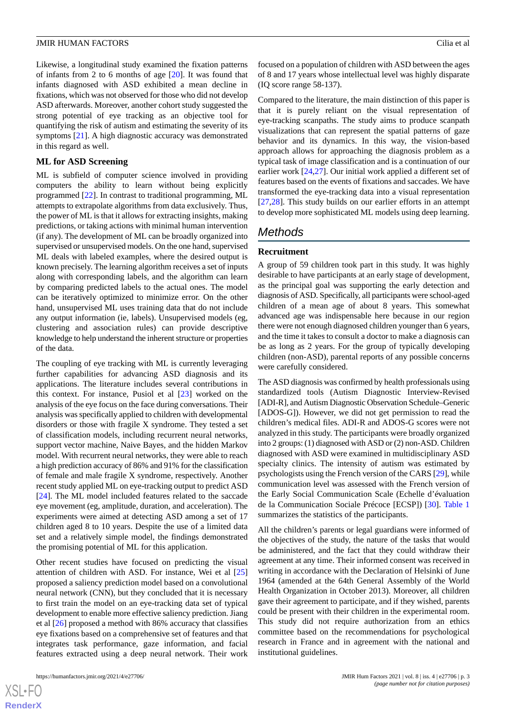Likewise, a longitudinal study examined the fixation patterns of infants from 2 to 6 months of age [20]. It was found that infants diagnosed with ASD exhibited a mean decline in fixations, which was not observed for those who did not develop ASD afterwards. Moreover, another cohort study suggested the strong potential of eye tracking as an objective tool for quantifying the risk of autism and estimating the severity of its symptoms [21]. A high diagnostic accuracy was demonstrated in this regard as well.

#### **ML for ASD Screening**

ML is subfield of computer science involved in providing computers the ability to learn without being explicitly programmed [22]. In contrast to traditional programming, ML attempts to extrapolate algorithms from data exclusively. Thus, the power of ML is that it allows for extracting insights, making predictions, or taking actions with minimal human intervention (if any). The development of ML can be broadly organized into supervised or unsupervised models. On the one hand, supervised ML deals with labeled examples, where the desired output is known precisely. The learning algorithm receives a set of inputs along with corresponding labels, and the algorithm can learn by comparing predicted labels to the actual ones. The model can be iteratively optimized to minimize error. On the other hand, unsupervised ML uses training data that do not include any output information (ie, labels). Unsupervised models (eg, clustering and association rules) can provide descriptive knowledge to help understand the inherent structure or properties of the data.

The coupling of eye tracking with ML is currently leveraging further capabilities for advancing ASD diagnosis and its applications. The literature includes several contributions in this context. For instance, Pusiol et al [23] worked on the analysis of the eye focus on the face during conversations. Their analysis was specifically applied to children with developmental disorders or those with fragile X syndrome. They tested a set of classification models, including recurrent neural networks, support vector machine, Naive Bayes, and the hidden Markov model. With recurrent neural networks, they were able to reach a high prediction accuracy of 86% and 91% for the classification of female and male fragile X syndrome, respectively. Another recent study applied ML on eye-tracking output to predict ASD [24]. The ML model included features related to the saccade eye movement (eg, amplitude, duration, and acceleration). The experiments were aimed at detecting ASD among a set of 17 children aged 8 to 10 years. Despite the use of a limited data set and a relatively simple model, the findings demonstrated the promising potential of ML for this application.

Other recent studies have focused on predicting the visual attention of children with ASD. For instance, Wei et al [25] proposed a saliency prediction model based on a convolutional neural network (CNN), but they concluded that it is necessary to first train the model on an eye-tracking data set of typical development to enable more effective saliency prediction. Jiang et al [26] proposed a method with 86% accuracy that classifies eye fixations based on a comprehensive set of features and that integrates task performance, gaze information, and facial features extracted using a deep neural network. Their work focused on a population of children with ASD between the ages of 8 and 17 years whose intellectual level was highly disparate (IQ score range 58-137).

Compared to the literature, the main distinction of this paper is that it is purely reliant on the visual representation of eye-tracking scanpaths. The study aims to produce scanpath visualizations that can represent the spatial patterns of gaze behavior and its dynamics. In this way, the vision-based approach allows for approaching the diagnosis problem as a typical task of image classification and is a continuation of our earlier work [24,27]. Our initial work applied a different set of features based on the events of fixations and saccades. We have transformed the eye-tracking data into a visual representation [27,28]. This study builds on our earlier efforts in an attempt to develop more sophisticated ML models using deep learning.

### *Methods*

#### **Recruitment**

A group of 59 children took part in this study. It was highly desirable to have participants at an early stage of development, as the principal goal was supporting the early detection and diagnosis of ASD. Specifically, all participants were school-aged children of a mean age of about 8 years. This somewhat advanced age was indispensable here because in our region there were not enough diagnosed children younger than 6 years, and the time it takes to consult a doctor to make a diagnosis can be as long as 2 years. For the group of typically developing children (non-ASD), parental reports of any possible concerns were carefully considered.

The ASD diagnosis was confirmed by health professionals using standardized tools (Autism Diagnostic Interview-Revised [ADI-R], and Autism Diagnostic Observation Schedule–Generic [ADOS-G]). However, we did not get permission to read the children's medical files. ADI-R and ADOS-G scores were not analyzed in this study. The participants were broadly organized into 2 groups: (1) diagnosed with ASD or (2) non-ASD. Children diagnosed with ASD were examined in multidisciplinary ASD specialty clinics. The intensity of autism was estimated by psychologists using the French version of the CARS [29], while communication level was assessed with the French version of the Early Social Communication Scale (Echelle d'évaluation de la Communication Sociale Précoce [ECSP]) [30]. Table 1 summarizes the statistics of the participants.

All the children's parents or legal guardians were informed of the objectives of the study, the nature of the tasks that would be administered, and the fact that they could withdraw their agreement at any time. Their informed consent was received in writing in accordance with the Declaration of Helsinki of June 1964 (amended at the 64th General Assembly of the World Health Organization in October 2013). Moreover, all children gave their agreement to participate, and if they wished, parents could be present with their children in the experimental room. This study did not require authorization from an ethics committee based on the recommendations for psychological research in France and in agreement with the national and institutional guidelines.

 $XS$  • FO **[RenderX](http://www.renderx.com/)**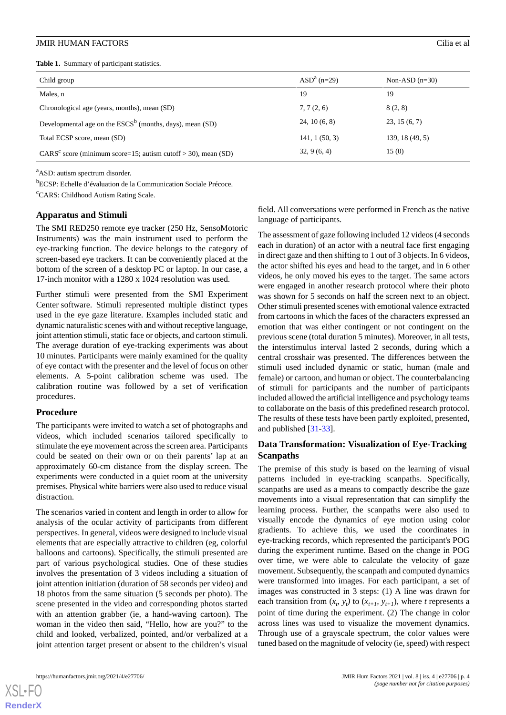**Table 1.** Summary of participant statistics.

| Child group                                                     | $ASDa$ (n=29) | Non-ASD $(n=30)$ |
|-----------------------------------------------------------------|---------------|------------------|
| Males, n                                                        | 19            | 19               |
| Chronological age (years, months), mean (SD)                    | 7, 7(2, 6)    | 8(2, 8)          |
| Developmental age on the $ESCS^b$ (months, days), mean (SD)     | 24, 10(6, 8)  | 23, 15(6, 7)     |
| Total ECSP score, mean (SD)                                     | 141, 1(50, 3) | 139, 18(49, 5)   |
| $CARSc$ score (minimum score=15; autism cutoff > 30), mean (SD) | 32, 9(6, 4)   | 15(0)            |

<sup>a</sup>ASD: autism spectrum disorder.

<sup>b</sup>ECSP: Echelle d'évaluation de la Communication Sociale Précoce.

<sup>c</sup>CARS: Childhood Autism Rating Scale.

#### **Apparatus and Stimuli**

The SMI RED250 remote eye tracker (250 Hz, SensoMotoric Instruments) was the main instrument used to perform the eye-tracking function. The device belongs to the category of screen-based eye trackers. It can be conveniently placed at the bottom of the screen of a desktop PC or laptop. In our case, a 17-inch monitor with a 1280 x 1024 resolution was used.

Further stimuli were presented from the SMI Experiment Center software. Stimuli represented multiple distinct types used in the eye gaze literature. Examples included static and dynamic naturalistic scenes with and without receptive language, joint attention stimuli, static face or objects, and cartoon stimuli. The average duration of eye-tracking experiments was about 10 minutes. Participants were mainly examined for the quality of eye contact with the presenter and the level of focus on other elements. A 5-point calibration scheme was used. The calibration routine was followed by a set of verification procedures.

#### **Procedure**

The participants were invited to watch a set of photographs and videos, which included scenarios tailored specifically to stimulate the eye movement across the screen area. Participants could be seated on their own or on their parents' lap at an approximately 60-cm distance from the display screen. The experiments were conducted in a quiet room at the university premises. Physical white barriers were also used to reduce visual distraction.

The scenarios varied in content and length in order to allow for analysis of the ocular activity of participants from different perspectives. In general, videos were designed to include visual elements that are especially attractive to children (eg, colorful balloons and cartoons). Specifically, the stimuli presented are part of various psychological studies. One of these studies involves the presentation of 3 videos including a situation of joint attention initiation (duration of 58 seconds per video) and 18 photos from the same situation (5 seconds per photo). The scene presented in the video and corresponding photos started with an attention grabber (ie, a hand-waving cartoon). The woman in the video then said, "Hello, how are you?" to the child and looked, verbalized, pointed, and/or verbalized at a joint attention target present or absent to the children's visual

[XSL](http://www.w3.org/Style/XSL)•FO **[RenderX](http://www.renderx.com/)**

field. All conversations were performed in French as the native language of participants.

The assessment of gaze following included 12 videos (4 seconds each in duration) of an actor with a neutral face first engaging in direct gaze and then shifting to 1 out of 3 objects. In 6 videos, the actor shifted his eyes and head to the target, and in 6 other videos, he only moved his eyes to the target. The same actors were engaged in another research protocol where their photo was shown for 5 seconds on half the screen next to an object. Other stimuli presented scenes with emotional valence extracted from cartoons in which the faces of the characters expressed an emotion that was either contingent or not contingent on the previous scene (total duration 5 minutes). Moreover, in all tests, the interstimulus interval lasted 2 seconds, during which a central crosshair was presented. The differences between the stimuli used included dynamic or static, human (male and female) or cartoon, and human or object. The counterbalancing of stimuli for participants and the number of participants included allowed the artificial intelligence and psychology teams to collaborate on the basis of this predefined research protocol. The results of these tests have been partly exploited, presented, and published [31-33].

#### **Data Transformation: Visualization of Eye-Tracking Scanpaths**

The premise of this study is based on the learning of visual patterns included in eye-tracking scanpaths. Specifically, scanpaths are used as a means to compactly describe the gaze movements into a visual representation that can simplify the learning process. Further, the scanpaths were also used to visually encode the dynamics of eye motion using color gradients. To achieve this, we used the coordinates in eye-tracking records, which represented the participant's POG during the experiment runtime. Based on the change in POG over time, we were able to calculate the velocity of gaze movement. Subsequently, the scanpath and computed dynamics were transformed into images. For each participant, a set of images was constructed in 3 steps: (1) A line was drawn for each transition from  $(x_t, y_t)$  to  $(x_{t+1}, y_{t+1})$ , where *t* represents a point of time during the experiment. (2) The change in color across lines was used to visualize the movement dynamics. Through use of a grayscale spectrum, the color values were tuned based on the magnitude of velocity (ie, speed) with respect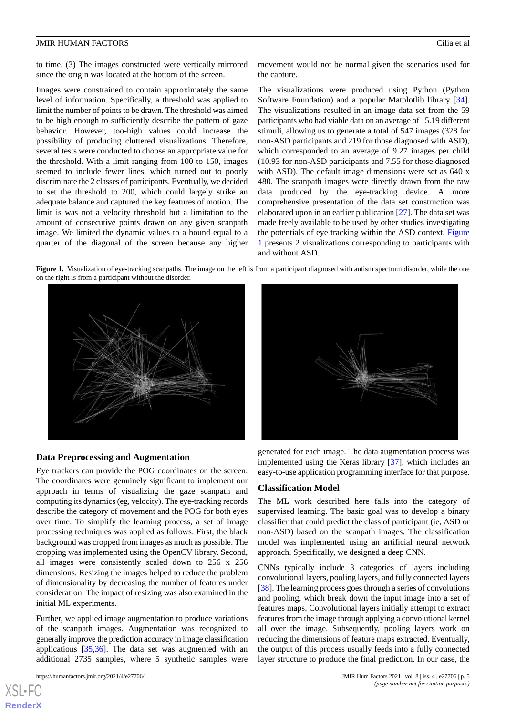to time. (3) The images constructed were vertically mirrored since the origin was located at the bottom of the screen.

Images were constrained to contain approximately the same level of information. Specifically, a threshold was applied to limit the number of points to be drawn. The threshold was aimed to be high enough to sufficiently describe the pattern of gaze behavior. However, too-high values could increase the possibility of producing cluttered visualizations. Therefore, several tests were conducted to choose an appropriate value for the threshold. With a limit ranging from 100 to 150, images seemed to include fewer lines, which turned out to poorly discriminate the 2 classes of participants. Eventually, we decided to set the threshold to 200, which could largely strike an adequate balance and captured the key features of motion. The limit is was not a velocity threshold but a limitation to the amount of consecutive points drawn on any given scanpath image. We limited the dynamic values to a bound equal to a quarter of the diagonal of the screen because any higher movement would not be normal given the scenarios used for the capture.

The visualizations were produced using Python (Python Software Foundation) and a popular Matplotlib library [34]. The visualizations resulted in an image data set from the 59 participants who had viable data on an average of 15.19 different stimuli, allowing us to generate a total of 547 images (328 for non-ASD participants and 219 for those diagnosed with ASD), which corresponded to an average of 9.27 images per child (10.93 for non-ASD participants and 7.55 for those diagnosed with ASD). The default image dimensions were set as 640 x 480. The scanpath images were directly drawn from the raw data produced by the eye-tracking device. A more comprehensive presentation of the data set construction was elaborated upon in an earlier publication [27]. The data set was made freely available to be used by other studies investigating the potentials of eye tracking within the ASD context. Figure 1 presents 2 visualizations corresponding to participants with and without ASD.

**Figure 1.** Visualization of eye-tracking scanpaths. The image on the left is from a participant diagnosed with autism spectrum disorder, while the one on the right is from a participant without the disorder.



#### **Data Preprocessing and Augmentation**

Eye trackers can provide the POG coordinates on the screen. The coordinates were genuinely significant to implement our approach in terms of visualizing the gaze scanpath and computing its dynamics (eg, velocity). The eye-tracking records describe the category of movement and the POG for both eyes over time. To simplify the learning process, a set of image processing techniques was applied as follows. First, the black background was cropped from images as much as possible. The cropping was implemented using the OpenCV library. Second, all images were consistently scaled down to 256 x 256 dimensions. Resizing the images helped to reduce the problem of dimensionality by decreasing the number of features under consideration. The impact of resizing was also examined in the initial ML experiments.

Further, we applied image augmentation to produce variations of the scanpath images. Augmentation was recognized to generally improve the prediction accuracy in image classification applications [35,36]. The data set was augmented with an additional 2735 samples, where 5 synthetic samples were



generated for each image. The data augmentation process was implemented using the Keras library [37], which includes an easy-to-use application programming interface for that purpose.

#### **Classification Model**

The ML work described here falls into the category of supervised learning. The basic goal was to develop a binary classifier that could predict the class of participant (ie, ASD or non-ASD) based on the scanpath images. The classification model was implemented using an artificial neural network approach. Specifically, we designed a deep CNN.

CNNs typically include 3 categories of layers including convolutional layers, pooling layers, and fully connected layers [38]. The learning process goes through a series of convolutions and pooling, which break down the input image into a set of features maps. Convolutional layers initially attempt to extract features from the image through applying a convolutional kernel all over the image. Subsequently, pooling layers work on reducing the dimensions of feature maps extracted. Eventually, the output of this process usually feeds into a fully connected layer structure to produce the final prediction. In our case, the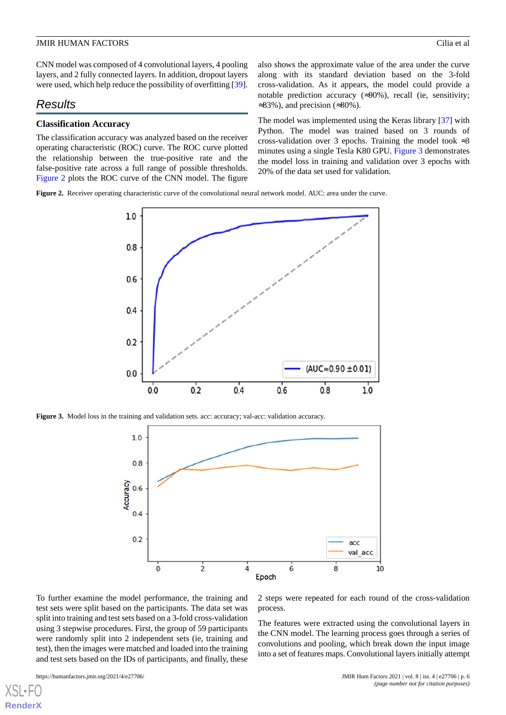CNN model was composed of 4 convolutional layers, 4 pooling layers, and 2 fully connected layers. In addition, dropout layers were used, which help reduce the possibility of overfitting [39].

### *Results*

#### **Classification Accuracy**

The classification accuracy was analyzed based on the receiver operating characteristic (ROC) curve. The ROC curve plotted the relationship between the true-positive rate and the false-positive rate across a full range of possible thresholds. Figure 2 plots the ROC curve of the CNN model. The figure also shows the approximate value of the area under the curve along with its standard deviation based on the 3-fold cross-validation. As it appears, the model could provide a notable prediction accuracy  $(\approx 90\%)$ , recall (ie, sensitivity;  $\approx$ 83%), and precision ( $\approx$ 80%).

The model was implemented using the Keras library [37] with Python. The model was trained based on 3 rounds of cross-validation over 3 epochs. Training the model took  $\approx 3$ minutes using a single Tesla K80 GPU. Figure 3 demonstrates the model loss in training and validation over 3 epochs with 20% of the data set used for validation.

**Figure 2.** Receiver operating characteristic curve of the convolutional neural network model. AUC: area under the curve.



**Figure 3.** Model loss in the training and validation sets. acc: accuracy; val-acc: validation accuracy.



process.

To further examine the model performance, the training and test sets were split based on the participants. The data set was split into training and test sets based on a 3-fold cross-validation using 3 stepwise procedures. First, the group of 59 participants were randomly split into 2 independent sets (ie, training and test), then the images were matched and loaded into the training and test sets based on the IDs of participants, and finally, these

[XSL](http://www.w3.org/Style/XSL)•FO **[RenderX](http://www.renderx.com/)**

https://humanfactors.jmir.org/2021/4/e27706/ JMIR Hum Factors 2021 | vol. 8 | iss. 4 | e27706 | p. 6 *(page number not for citation purposes)*

2 steps were repeated for each round of the cross-validation

The features were extracted using the convolutional layers in the CNN model. The learning process goes through a series of convolutions and pooling, which break down the input image into a set of features maps. Convolutional layers initially attempt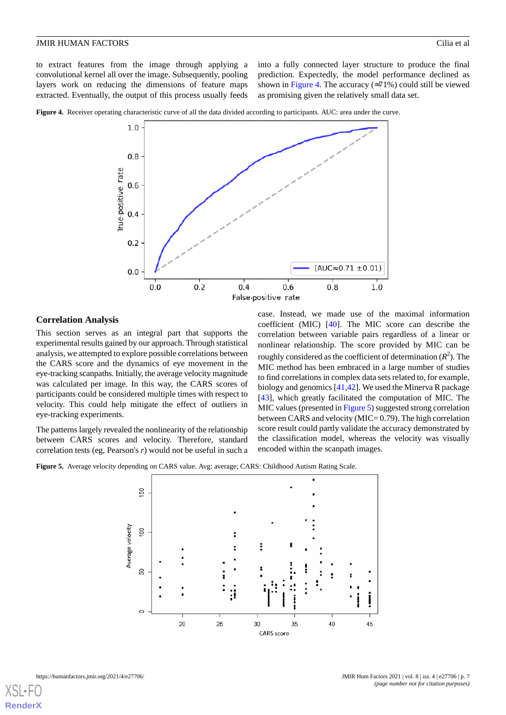to extract features from the image through applying a convolutional kernel all over the image. Subsequently, pooling layers work on reducing the dimensions of feature maps extracted. Eventually, the output of this process usually feeds into a fully connected layer structure to produce the final prediction. Expectedly, the model performance declined as shown in Figure 4. The accuracy  $(\approx 71\%)$  could still be viewed as promising given the relatively small data set.





#### **Correlation Analysis**

This section serves as an integral part that supports the experimental results gained by our approach. Through statistical analysis, we attempted to explore possible correlations between the CARS score and the dynamics of eye movement in the eye-tracking scanpaths. Initially, the average velocity magnitude was calculated per image. In this way, the CARS scores of participants could be considered multiple times with respect to velocity. This could help mitigate the effect of outliers in eye-tracking experiments.

The patterns largely revealed the nonlinearity of the relationship between CARS scores and velocity. Therefore, standard correlation tests (eg, Pearson's *r*) would not be useful in such a

case. Instead, we made use of the maximal information coefficient (MIC) [40]. The MIC score can describe the correlation between variable pairs regardless of a linear or nonlinear relationship. The score provided by MIC can be roughly considered as the coefficient of determination  $(R^2)$ . The MIC method has been embraced in a large number of studies to find correlations in complex data sets related to, for example, biology and genomics [41,42]. We used the Minerva R package [43], which greatly facilitated the computation of MIC. The MIC values (presented in Figure 5) suggested strong correlation between CARS and velocity (MIC= 0.79). The high correlation score result could partly validate the accuracy demonstrated by the classification model, whereas the velocity was visually encoded within the scanpath images.

**Figure 5.** Average velocity depending on CARS value. Avg: average; CARS: Childhood Autism Rating Scale.



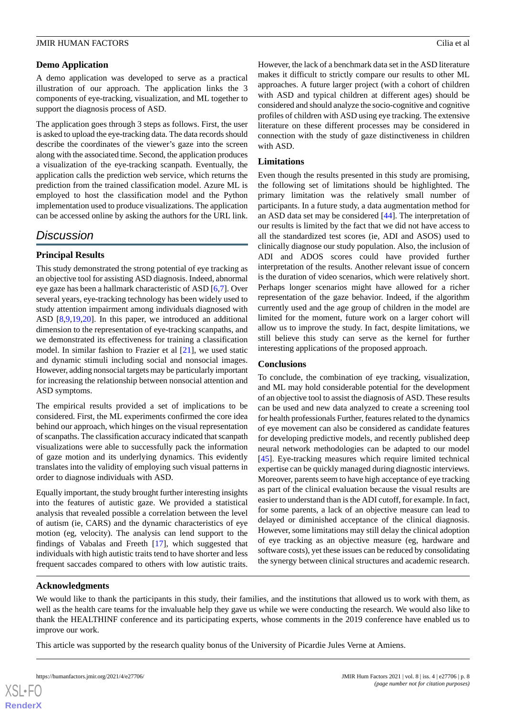#### **Demo Application**

A demo application was developed to serve as a practical illustration of our approach. The application links the 3 components of eye-tracking, visualization, and ML together to support the diagnosis process of ASD.

The application goes through 3 steps as follows. First, the user is asked to upload the eye-tracking data. The data records should describe the coordinates of the viewer's gaze into the screen along with the associated time. Second, the application produces a visualization of the eye-tracking scanpath. Eventually, the application calls the prediction web service, which returns the prediction from the trained classification model. Azure ML is employed to host the classification model and the Python implementation used to produce visualizations. The application can be accessed online by asking the authors for the URL link.

### *Discussion*

### **Principal Results**

This study demonstrated the strong potential of eye tracking as an objective tool for assisting ASD diagnosis. Indeed, abnormal eye gaze has been a hallmark characteristic of ASD [6,7]. Over several years, eye-tracking technology has been widely used to study attention impairment among individuals diagnosed with ASD [8,9,19,20]. In this paper, we introduced an additional dimension to the representation of eye-tracking scanpaths, and we demonstrated its effectiveness for training a classification model. In similar fashion to Frazier et al [21], we used static and dynamic stimuli including social and nonsocial images. However, adding nonsocial targets may be particularly important for increasing the relationship between nonsocial attention and ASD symptoms.

The empirical results provided a set of implications to be considered. First, the ML experiments confirmed the core idea behind our approach, which hinges on the visual representation of scanpaths. The classification accuracy indicated that scanpath visualizations were able to successfully pack the information of gaze motion and its underlying dynamics. This evidently translates into the validity of employing such visual patterns in order to diagnose individuals with ASD.

Equally important, the study brought further interesting insights into the features of autistic gaze. We provided a statistical analysis that revealed possible a correlation between the level of autism (ie, CARS) and the dynamic characteristics of eye motion (eg, velocity). The analysis can lend support to the findings of Vabalas and Freeth [17], which suggested that individuals with high autistic traits tend to have shorter and less frequent saccades compared to others with low autistic traits.

However, the lack of a benchmark data set in the ASD literature makes it difficult to strictly compare our results to other ML approaches. A future larger project (with a cohort of children with ASD and typical children at different ages) should be considered and should analyze the socio-cognitive and cognitive profiles of children with ASD using eye tracking. The extensive literature on these different processes may be considered in connection with the study of gaze distinctiveness in children with ASD.

#### **Limitations**

Even though the results presented in this study are promising, the following set of limitations should be highlighted. The primary limitation was the relatively small number of participants. In a future study, a data augmentation method for an ASD data set may be considered [44]. The interpretation of our results is limited by the fact that we did not have access to all the standardized test scores (ie, ADI and ASOS) used to clinically diagnose our study population. Also, the inclusion of ADI and ADOS scores could have provided further interpretation of the results. Another relevant issue of concern is the duration of video scenarios, which were relatively short. Perhaps longer scenarios might have allowed for a richer representation of the gaze behavior. Indeed, if the algorithm currently used and the age group of children in the model are limited for the moment, future work on a larger cohort will allow us to improve the study. In fact, despite limitations, we still believe this study can serve as the kernel for further interesting applications of the proposed approach.

#### **Conclusions**

To conclude, the combination of eye tracking, visualization, and ML may hold considerable potential for the development of an objective tool to assist the diagnosis of ASD. These results can be used and new data analyzed to create a screening tool for health professionals Further, features related to the dynamics of eye movement can also be considered as candidate features for developing predictive models, and recently published deep neural network methodologies can be adapted to our model [45]. Eye-tracking measures which require limited technical expertise can be quickly managed during diagnostic interviews. Moreover, parents seem to have high acceptance of eye tracking as part of the clinical evaluation because the visual results are easier to understand than is the ADI cutoff, for example. In fact, for some parents, a lack of an objective measure can lead to delayed or diminished acceptance of the clinical diagnosis. However, some limitations may still delay the clinical adoption of eye tracking as an objective measure (eg, hardware and software costs), yet these issues can be reduced by consolidating the synergy between clinical structures and academic research.

#### **Acknowledgments**

We would like to thank the participants in this study, their families, and the institutions that allowed us to work with them, as well as the health care teams for the invaluable help they gave us while we were conducting the research. We would also like to thank the HEALTHINF conference and its participating experts, whose comments in the 2019 conference have enabled us to improve our work.

This article was supported by the research quality bonus of the University of Picardie Jules Verne at Amiens.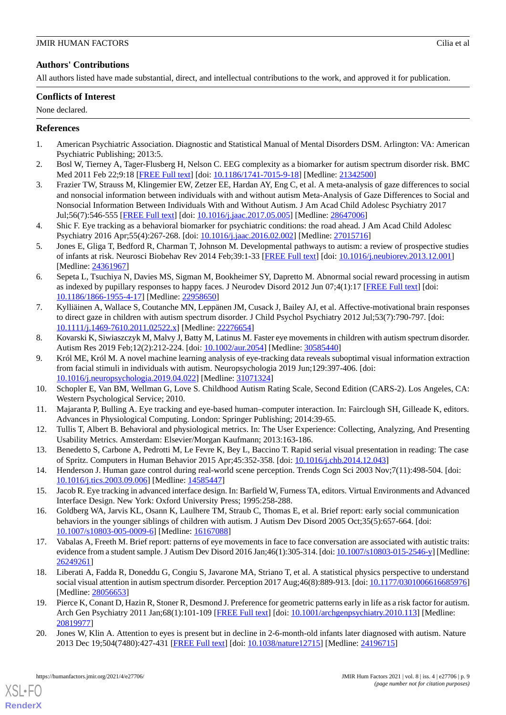### **Authors' Contributions**

All authors listed have made substantial, direct, and intellectual contributions to the work, and approved it for publication.

#### **Conflicts of Interest**

None declared.

#### **References**

- 1. American Psychiatric Association. Diagnostic and Statistical Manual of Mental Disorders DSM. Arlington: VA: American Psychiatric Publishing; 2013:5.
- 2. Bosl W, Tierney A, Tager-Flusberg H, Nelson C. EEG complexity as a biomarker for autism spectrum disorder risk. BMC Med 2011 Feb 22;9:18 [[FREE Full text](https://bmcmedicine.biomedcentral.com/articles/10.1186/1741-7015-9-18)] [doi: [10.1186/1741-7015-9-18\]](http://dx.doi.org/10.1186/1741-7015-9-18) [Medline: [21342500](http://www.ncbi.nlm.nih.gov/entrez/query.fcgi?cmd=Retrieve&db=PubMed&list_uids=21342500&dopt=Abstract)]
- 3. Frazier TW, Strauss M, Klingemier EW, Zetzer EE, Hardan AY, Eng C, et al. A meta-analysis of gaze differences to social and nonsocial information between individuals with and without autism Meta-Analysis of Gaze Differences to Social and Nonsocial Information Between Individuals With and Without Autism. J Am Acad Child Adolesc Psychiatry 2017 Jul;56(7):546-555 [[FREE Full text\]](http://europepmc.org/abstract/MED/28647006) [doi: [10.1016/j.jaac.2017.05.005](http://dx.doi.org/10.1016/j.jaac.2017.05.005)] [Medline: [28647006](http://www.ncbi.nlm.nih.gov/entrez/query.fcgi?cmd=Retrieve&db=PubMed&list_uids=28647006&dopt=Abstract)]
- 4. Shic F. Eye tracking as a behavioral biomarker for psychiatric conditions: the road ahead. J Am Acad Child Adolesc Psychiatry 2016 Apr;55(4):267-268. [doi: [10.1016/j.jaac.2016.02.002](http://dx.doi.org/10.1016/j.jaac.2016.02.002)] [Medline: [27015716](http://www.ncbi.nlm.nih.gov/entrez/query.fcgi?cmd=Retrieve&db=PubMed&list_uids=27015716&dopt=Abstract)]
- 5. Jones E, Gliga T, Bedford R, Charman T, Johnson M. Developmental pathways to autism: a review of prospective studies of infants at risk. Neurosci Biobehav Rev 2014 Feb;39:1-33 [[FREE Full text\]](https://linkinghub.elsevier.com/retrieve/pii/S0149-7634(13)00298-4) [doi: [10.1016/j.neubiorev.2013.12.001](http://dx.doi.org/10.1016/j.neubiorev.2013.12.001)] [Medline: [24361967](http://www.ncbi.nlm.nih.gov/entrez/query.fcgi?cmd=Retrieve&db=PubMed&list_uids=24361967&dopt=Abstract)]
- 6. Sepeta L, Tsuchiya N, Davies MS, Sigman M, Bookheimer SY, Dapretto M. Abnormal social reward processing in autism as indexed by pupillary responses to happy faces. J Neurodev Disord 2012 Jun 07;4(1):17 [[FREE Full text](https://jneurodevdisorders.biomedcentral.com/articles/10.1186/1866-1955-4-17)] [doi: [10.1186/1866-1955-4-17\]](http://dx.doi.org/10.1186/1866-1955-4-17) [Medline: [22958650\]](http://www.ncbi.nlm.nih.gov/entrez/query.fcgi?cmd=Retrieve&db=PubMed&list_uids=22958650&dopt=Abstract)
- 7. Kylliäinen A, Wallace S, Coutanche MN, Leppänen JM, Cusack J, Bailey AJ, et al. Affective-motivational brain responses to direct gaze in children with autism spectrum disorder. J Child Psychol Psychiatry 2012 Jul;53(7):790-797. [doi: [10.1111/j.1469-7610.2011.02522.x\]](http://dx.doi.org/10.1111/j.1469-7610.2011.02522.x) [Medline: [22276654\]](http://www.ncbi.nlm.nih.gov/entrez/query.fcgi?cmd=Retrieve&db=PubMed&list_uids=22276654&dopt=Abstract)
- 8. Kovarski K, Siwiaszczyk M, Malvy J, Batty M, Latinus M. Faster eye movements in children with autism spectrum disorder. Autism Res 2019 Feb;12(2):212-224. [doi: [10.1002/aur.2054](http://dx.doi.org/10.1002/aur.2054)] [Medline: [30585440](http://www.ncbi.nlm.nih.gov/entrez/query.fcgi?cmd=Retrieve&db=PubMed&list_uids=30585440&dopt=Abstract)]
- 9. Król ME, Król M. A novel machine learning analysis of eye-tracking data reveals suboptimal visual information extraction from facial stimuli in individuals with autism. Neuropsychologia 2019 Jun;129:397-406. [doi: [10.1016/j.neuropsychologia.2019.04.022\]](http://dx.doi.org/10.1016/j.neuropsychologia.2019.04.022) [Medline: [31071324](http://www.ncbi.nlm.nih.gov/entrez/query.fcgi?cmd=Retrieve&db=PubMed&list_uids=31071324&dopt=Abstract)]
- 10. Schopler E, Van BM, Wellman G, Love S. Childhood Autism Rating Scale, Second Edition (CARS-2). Los Angeles, CA: Western Psychological Service; 2010.
- 11. Majaranta P, Bulling A. Eye tracking and eye-based human–computer interaction. In: Fairclough SH, Gilleade K, editors. Advances in Physiological Computing. London: Springer Publishing; 2014:39-65.
- 12. Tullis T, Albert B. Behavioral and physiological metrics. In: The User Experience: Collecting, Analyzing, And Presenting Usability Metrics. Amsterdam: Elsevier/Morgan Kaufmann; 2013:163-186.
- 13. Benedetto S, Carbone A, Pedrotti M, Le Fevre K, Bey L, Baccino T. Rapid serial visual presentation in reading: The case of Spritz. Computers in Human Behavior 2015 Apr;45:352-358. [doi: [10.1016/j.chb.2014.12.043](http://dx.doi.org/10.1016/j.chb.2014.12.043)]
- 14. Henderson J. Human gaze control during real-world scene perception. Trends Cogn Sci 2003 Nov;7(11):498-504. [doi: [10.1016/j.tics.2003.09.006\]](http://dx.doi.org/10.1016/j.tics.2003.09.006) [Medline: [14585447](http://www.ncbi.nlm.nih.gov/entrez/query.fcgi?cmd=Retrieve&db=PubMed&list_uids=14585447&dopt=Abstract)]
- 15. Jacob R. Eye tracking in advanced interface design. In: Barfield W, Furness TA, editors. Virtual Environments and Advanced Interface Design. New York: Oxford University Press; 1995:258-288.
- 16. Goldberg WA, Jarvis KL, Osann K, Laulhere TM, Straub C, Thomas E, et al. Brief report: early social communication behaviors in the younger siblings of children with autism. J Autism Dev Disord 2005 Oct;35(5):657-664. [doi: [10.1007/s10803-005-0009-6\]](http://dx.doi.org/10.1007/s10803-005-0009-6) [Medline: [16167088](http://www.ncbi.nlm.nih.gov/entrez/query.fcgi?cmd=Retrieve&db=PubMed&list_uids=16167088&dopt=Abstract)]
- 17. Vabalas A, Freeth M. Brief report: patterns of eye movements in face to face conversation are associated with autistic traits: evidence from a student sample. J Autism Dev Disord 2016 Jan;46(1):305-314. [doi: [10.1007/s10803-015-2546-y\]](http://dx.doi.org/10.1007/s10803-015-2546-y) [Medline: [26249261](http://www.ncbi.nlm.nih.gov/entrez/query.fcgi?cmd=Retrieve&db=PubMed&list_uids=26249261&dopt=Abstract)]
- 18. Liberati A, Fadda R, Doneddu G, Congiu S, Javarone MA, Striano T, et al. A statistical physics perspective to understand social visual attention in autism spectrum disorder. Perception 2017 Aug;46(8):889-913. [doi: [10.1177/0301006616685976\]](http://dx.doi.org/10.1177/0301006616685976) [Medline: [28056653](http://www.ncbi.nlm.nih.gov/entrez/query.fcgi?cmd=Retrieve&db=PubMed&list_uids=28056653&dopt=Abstract)]
- 19. Pierce K, Conant D, Hazin R, Stoner R, Desmond J. Preference for geometric patterns early in life as a risk factor for autism. Arch Gen Psychiatry 2011 Jan;68(1):101-109 [\[FREE Full text\]](http://europepmc.org/abstract/MED/20819977) [doi: [10.1001/archgenpsychiatry.2010.113\]](http://dx.doi.org/10.1001/archgenpsychiatry.2010.113) [Medline: [20819977](http://www.ncbi.nlm.nih.gov/entrez/query.fcgi?cmd=Retrieve&db=PubMed&list_uids=20819977&dopt=Abstract)]
- 20. Jones W, Klin A. Attention to eyes is present but in decline in 2-6-month-old infants later diagnosed with autism. Nature 2013 Dec 19;504(7480):427-431 [\[FREE Full text](http://europepmc.org/abstract/MED/24196715)] [doi: [10.1038/nature12715\]](http://dx.doi.org/10.1038/nature12715) [Medline: [24196715\]](http://www.ncbi.nlm.nih.gov/entrez/query.fcgi?cmd=Retrieve&db=PubMed&list_uids=24196715&dopt=Abstract)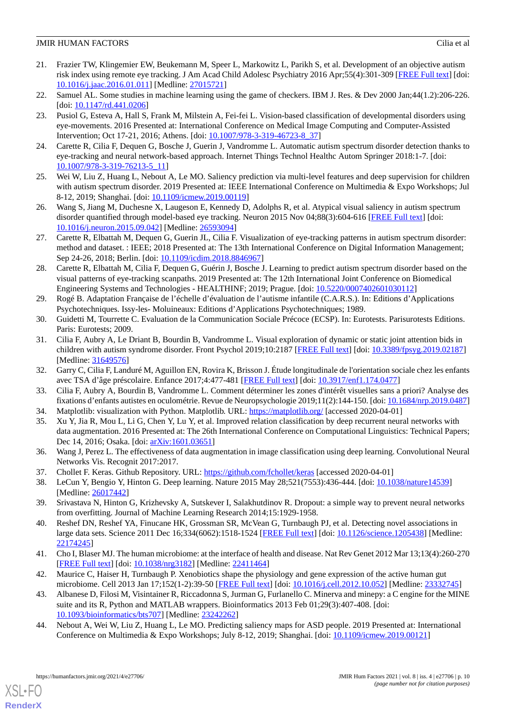- 21. Frazier TW, Klingemier EW, Beukemann M, Speer L, Markowitz L, Parikh S, et al. Development of an objective autism risk index using remote eye tracking. J Am Acad Child Adolesc Psychiatry 2016 Apr;55(4):301-309 [[FREE Full text](http://europepmc.org/abstract/MED/27015721)] [doi: [10.1016/j.jaac.2016.01.011\]](http://dx.doi.org/10.1016/j.jaac.2016.01.011) [Medline: [27015721\]](http://www.ncbi.nlm.nih.gov/entrez/query.fcgi?cmd=Retrieve&db=PubMed&list_uids=27015721&dopt=Abstract)
- 22. Samuel AL. Some studies in machine learning using the game of checkers. IBM J. Res. & Dev 2000 Jan;44(1.2):206-226. [doi: [10.1147/rd.441.0206\]](http://dx.doi.org/10.1147/rd.441.0206)
- 23. Pusiol G, Esteva A, Hall S, Frank M, Milstein A, Fei-fei L. Vision-based classification of developmental disorders using eye-movements. 2016 Presented at: International Conference on Medical Image Computing and Computer-Assisted Intervention; Oct 17-21, 2016; Athens. [doi: [10.1007/978-3-319-46723-8\\_37](http://dx.doi.org/10.1007/978-3-319-46723-8_37)]
- 24. Carette R, Cilia F, Dequen G, Bosche J, Guerin J, Vandromme L. Automatic autism spectrum disorder detection thanks to eye-tracking and neural network-based approach. Internet Things Technol Healthc Autom Springer 2018:1-7. [doi: [10.1007/978-3-319-76213-5\\_11](http://dx.doi.org/10.1007/978-3-319-76213-5_11)]
- 25. Wei W, Liu Z, Huang L, Nebout A, Le MO. Saliency prediction via multi-level features and deep supervision for children with autism spectrum disorder. 2019 Presented at: IEEE International Conference on Multimedia & Expo Workshops; Jul 8-12, 2019; Shanghai. [doi: [10.1109/icmew.2019.00119\]](http://dx.doi.org/10.1109/icmew.2019.00119)
- 26. Wang S, Jiang M, Duchesne X, Laugeson E, Kennedy D, Adolphs R, et al. Atypical visual saliency in autism spectrum disorder quantified through model-based eye tracking. Neuron 2015 Nov 04;88(3):604-616 [[FREE Full text](https://linkinghub.elsevier.com/retrieve/pii/S0896-6273(15)00831-4)] [doi: [10.1016/j.neuron.2015.09.042](http://dx.doi.org/10.1016/j.neuron.2015.09.042)] [Medline: [26593094](http://www.ncbi.nlm.nih.gov/entrez/query.fcgi?cmd=Retrieve&db=PubMed&list_uids=26593094&dopt=Abstract)]
- 27. Carette R, Elbattah M, Dequen G, Guerin JL, Cilia F. Visualization of eye-tracking patterns in autism spectrum disorder: method and dataset. : IEEE; 2018 Presented at: The 13th International Conference on Digital Information Management; Sep 24-26, 2018; Berlin. [doi: [10.1109/icdim.2018.8846967](http://dx.doi.org/10.1109/icdim.2018.8846967)]
- 28. Carette R, Elbattah M, Cilia F, Dequen G, Guérin J, Bosche J. Learning to predict autism spectrum disorder based on the visual patterns of eye-tracking scanpaths. 2019 Presented at: The 12th International Joint Conference on Biomedical Engineering Systems and Technologies - HEALTHINF; 2019; Prague. [doi: [10.5220/0007402601030112](http://dx.doi.org/10.5220/0007402601030112)]
- 29. Rogé B. Adaptation Française de l'échelle d'évaluation de l'autisme infantile (C.A.R.S.). In: Editions d'Applications Psychotechniques. Issy-les- Moluineaux: Editions d'Applications Psychotechniques; 1989.
- 30. Guidetti M, Tourrette C. Evaluation de la Communication Sociale Précoce (ECSP). In: Eurotests. Parisurotests Editions. Paris: Eurotests; 2009.
- 31. Cilia F, Aubry A, Le Driant B, Bourdin B, Vandromme L. Visual exploration of dynamic or static joint attention bids in children with autism syndrome disorder. Front Psychol 2019;10:2187 [\[FREE Full text](https://doi.org/10.3389/fpsyg.2019.02187)] [doi: [10.3389/fpsyg.2019.02187](http://dx.doi.org/10.3389/fpsyg.2019.02187)] [Medline: [31649576](http://www.ncbi.nlm.nih.gov/entrez/query.fcgi?cmd=Retrieve&db=PubMed&list_uids=31649576&dopt=Abstract)]
- 32. Garry C, Cilia F, Landuré M, Aguillon EN, Rovira K, Brisson J. Étude longitudinale de l'orientation sociale chez les enfants avec TSA d'âge préscolaire. Enfance 2017;4:477-481 [[FREE Full text](https://doi.org/10.4074/S0013754517004104)] [doi: [10.3917/enf1.174.0477\]](http://dx.doi.org/10.3917/enf1.174.0477)
- 33. Cilia F, Aubry A, Bourdin B, Vandromme L. Comment déterminer les zones d'intérêt visuelles sans a priori? Analyse des fixations d'enfants autistes en oculométrie. Revue de Neuropsychologie 2019;11(2):144-150. [doi: [10.1684/nrp.2019.0487\]](http://dx.doi.org/10.1684/nrp.2019.0487)
- 34. Matplotlib: visualization with Python. Matplotlib. URL:<https://matplotlib.org/> [accessed 2020-04-01]
- 35. Xu Y, Jia R, Mou L, Li G, Chen Y, Lu Y, et al. Improved relation classification by deep recurrent neural networks with data augmentation. 2016 Presented at: The 26th International Conference on Computational Linguistics: Technical Papers; Dec 14, 2016; Osaka. [doi:  $arXiv:1601.03651$ ]
- 36. Wang J, Perez L. The effectiveness of data augmentation in image classification using deep learning. Convolutional Neural Networks Vis. Recognit 2017:2017.
- 37. Chollet F. Keras. Github Repository. URL:<https://github.com/fchollet/keras> [accessed 2020-04-01]
- 38. LeCun Y, Bengio Y, Hinton G. Deep learning. Nature 2015 May 28;521(7553):436-444. [doi: [10.1038/nature14539\]](http://dx.doi.org/10.1038/nature14539) [Medline: [26017442](http://www.ncbi.nlm.nih.gov/entrez/query.fcgi?cmd=Retrieve&db=PubMed&list_uids=26017442&dopt=Abstract)]
- 39. Srivastava N, Hinton G, Krizhevsky A, Sutskever I, Salakhutdinov R. Dropout: a simple way to prevent neural networks from overfitting. Journal of Machine Learning Research 2014;15:1929-1958.
- 40. Reshef DN, Reshef YA, Finucane HK, Grossman SR, McVean G, Turnbaugh PJ, et al. Detecting novel associations in large data sets. Science 2011 Dec 16;334(6062):1518-1524 [\[FREE Full text\]](http://europepmc.org/abstract/MED/22174245) [doi: [10.1126/science.1205438\]](http://dx.doi.org/10.1126/science.1205438) [Medline: [22174245](http://www.ncbi.nlm.nih.gov/entrez/query.fcgi?cmd=Retrieve&db=PubMed&list_uids=22174245&dopt=Abstract)]
- 41. Cho I, Blaser MJ. The human microbiome: at the interface of health and disease. Nat Rev Genet 2012 Mar 13;13(4):260-270 [[FREE Full text](http://europepmc.org/abstract/MED/22411464)] [doi: [10.1038/nrg3182\]](http://dx.doi.org/10.1038/nrg3182) [Medline: [22411464\]](http://www.ncbi.nlm.nih.gov/entrez/query.fcgi?cmd=Retrieve&db=PubMed&list_uids=22411464&dopt=Abstract)
- 42. Maurice C, Haiser H, Turnbaugh P. Xenobiotics shape the physiology and gene expression of the active human gut microbiome. Cell 2013 Jan 17;152(1-2):39-50 [\[FREE Full text\]](https://linkinghub.elsevier.com/retrieve/pii/S0092-8674(12)01428-6) [doi: [10.1016/j.cell.2012.10.052](http://dx.doi.org/10.1016/j.cell.2012.10.052)] [Medline: [23332745\]](http://www.ncbi.nlm.nih.gov/entrez/query.fcgi?cmd=Retrieve&db=PubMed&list_uids=23332745&dopt=Abstract)
- 43. Albanese D, Filosi M, Visintainer R, Riccadonna S, Jurman G, Furlanello C. Minerva and minepy: a C engine for the MINE suite and its R, Python and MATLAB wrappers. Bioinformatics 2013 Feb 01;29(3):407-408. [doi: [10.1093/bioinformatics/bts707\]](http://dx.doi.org/10.1093/bioinformatics/bts707) [Medline: [23242262](http://www.ncbi.nlm.nih.gov/entrez/query.fcgi?cmd=Retrieve&db=PubMed&list_uids=23242262&dopt=Abstract)]
- 44. Nebout A, Wei W, Liu Z, Huang L, Le MO. Predicting saliency maps for ASD people. 2019 Presented at: International Conference on Multimedia & Expo Workshops; July 8-12, 2019; Shanghai. [doi: [10.1109/icmew.2019.00121](http://dx.doi.org/10.1109/icmew.2019.00121)]